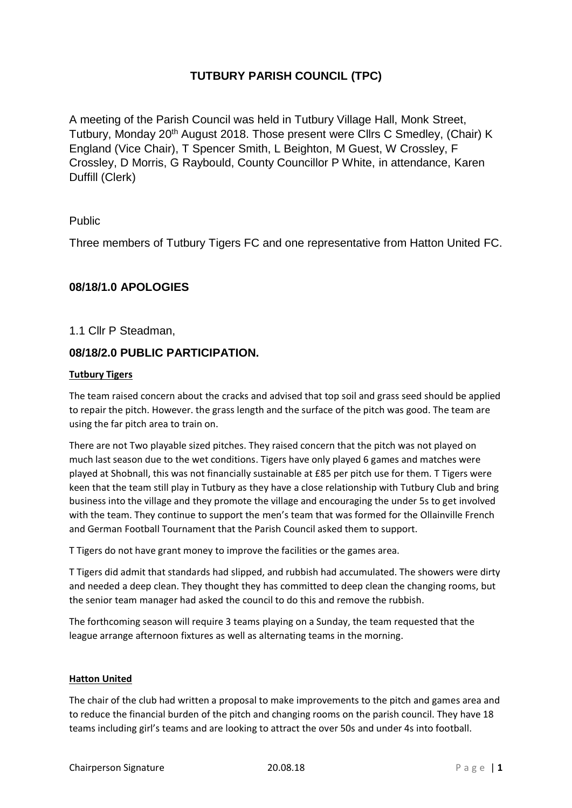# **TUTBURY PARISH COUNCIL (TPC)**

A meeting of the Parish Council was held in Tutbury Village Hall, Monk Street, Tutbury, Monday 20th August 2018. Those present were Cllrs C Smedley, (Chair) K England (Vice Chair), T Spencer Smith, L Beighton, M Guest, W Crossley, F Crossley, D Morris, G Raybould, County Councillor P White, in attendance, Karen Duffill (Clerk)

## Public

Three members of Tutbury Tigers FC and one representative from Hatton United FC.

## **08/18/1.0 APOLOGIES**

1.1 Cllr P Steadman,

## **08/18/2.0 PUBLIC PARTICIPATION.**

### **Tutbury Tigers**

The team raised concern about the cracks and advised that top soil and grass seed should be applied to repair the pitch. However. the grass length and the surface of the pitch was good. The team are using the far pitch area to train on.

There are not Two playable sized pitches. They raised concern that the pitch was not played on much last season due to the wet conditions. Tigers have only played 6 games and matches were played at Shobnall, this was not financially sustainable at £85 per pitch use for them. T Tigers were keen that the team still play in Tutbury as they have a close relationship with Tutbury Club and bring business into the village and they promote the village and encouraging the under 5s to get involved with the team. They continue to support the men's team that was formed for the Ollainville French and German Football Tournament that the Parish Council asked them to support.

T Tigers do not have grant money to improve the facilities or the games area.

T Tigers did admit that standards had slipped, and rubbish had accumulated. The showers were dirty and needed a deep clean. They thought they has committed to deep clean the changing rooms, but the senior team manager had asked the council to do this and remove the rubbish.

The forthcoming season will require 3 teams playing on a Sunday, the team requested that the league arrange afternoon fixtures as well as alternating teams in the morning.

### **Hatton United**

The chair of the club had written a proposal to make improvements to the pitch and games area and to reduce the financial burden of the pitch and changing rooms on the parish council. They have 18 teams including girl's teams and are looking to attract the over 50s and under 4s into football.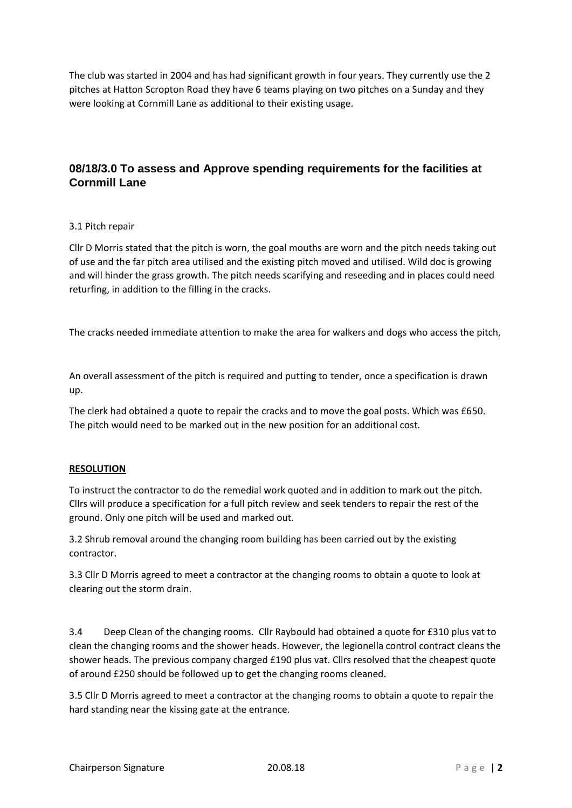The club was started in 2004 and has had significant growth in four years. They currently use the 2 pitches at Hatton Scropton Road they have 6 teams playing on two pitches on a Sunday and they were looking at Cornmill Lane as additional to their existing usage.

# **08/18/3.0 To assess and Approve spending requirements for the facilities at Cornmill Lane**

### 3.1 Pitch repair

Cllr D Morris stated that the pitch is worn, the goal mouths are worn and the pitch needs taking out of use and the far pitch area utilised and the existing pitch moved and utilised. Wild doc is growing and will hinder the grass growth. The pitch needs scarifying and reseeding and in places could need returfing, in addition to the filling in the cracks.

The cracks needed immediate attention to make the area for walkers and dogs who access the pitch,

An overall assessment of the pitch is required and putting to tender, once a specification is drawn up.

The clerk had obtained a quote to repair the cracks and to move the goal posts. Which was £650. The pitch would need to be marked out in the new position for an additional cost.

### **RESOLUTION**

To instruct the contractor to do the remedial work quoted and in addition to mark out the pitch. Cllrs will produce a specification for a full pitch review and seek tenders to repair the rest of the ground. Only one pitch will be used and marked out.

3.2 Shrub removal around the changing room building has been carried out by the existing contractor.

3.3 Cllr D Morris agreed to meet a contractor at the changing rooms to obtain a quote to look at clearing out the storm drain.

3.4 Deep Clean of the changing rooms. Cllr Raybould had obtained a quote for £310 plus vat to clean the changing rooms and the shower heads. However, the legionella control contract cleans the shower heads. The previous company charged £190 plus vat. Cllrs resolved that the cheapest quote of around £250 should be followed up to get the changing rooms cleaned.

3.5 Cllr D Morris agreed to meet a contractor at the changing rooms to obtain a quote to repair the hard standing near the kissing gate at the entrance.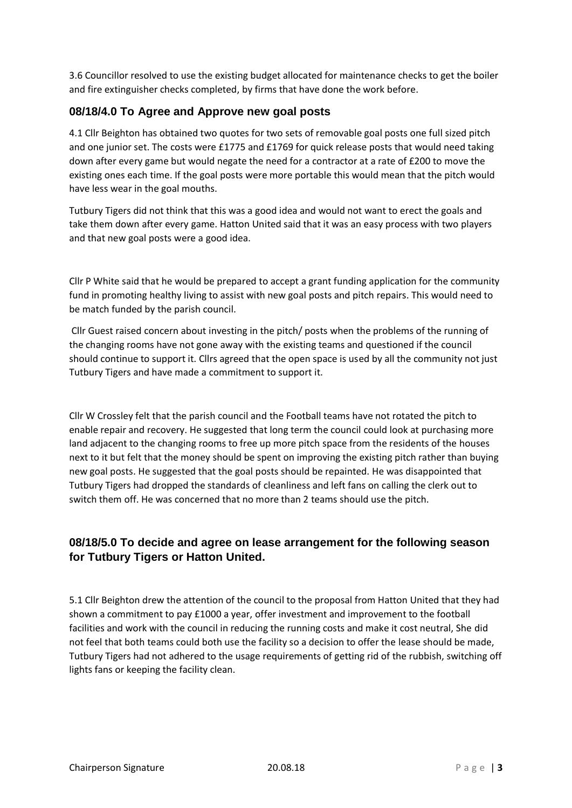3.6 Councillor resolved to use the existing budget allocated for maintenance checks to get the boiler and fire extinguisher checks completed, by firms that have done the work before.

## **08/18/4.0 To Agree and Approve new goal posts**

4.1 Cllr Beighton has obtained two quotes for two sets of removable goal posts one full sized pitch and one junior set. The costs were £1775 and £1769 for quick release posts that would need taking down after every game but would negate the need for a contractor at a rate of £200 to move the existing ones each time. If the goal posts were more portable this would mean that the pitch would have less wear in the goal mouths.

Tutbury Tigers did not think that this was a good idea and would not want to erect the goals and take them down after every game. Hatton United said that it was an easy process with two players and that new goal posts were a good idea.

Cllr P White said that he would be prepared to accept a grant funding application for the community fund in promoting healthy living to assist with new goal posts and pitch repairs. This would need to be match funded by the parish council.

Cllr Guest raised concern about investing in the pitch/ posts when the problems of the running of the changing rooms have not gone away with the existing teams and questioned if the council should continue to support it. Cllrs agreed that the open space is used by all the community not just Tutbury Tigers and have made a commitment to support it.

Cllr W Crossley felt that the parish council and the Football teams have not rotated the pitch to enable repair and recovery. He suggested that long term the council could look at purchasing more land adjacent to the changing rooms to free up more pitch space from the residents of the houses next to it but felt that the money should be spent on improving the existing pitch rather than buying new goal posts. He suggested that the goal posts should be repainted. He was disappointed that Tutbury Tigers had dropped the standards of cleanliness and left fans on calling the clerk out to switch them off. He was concerned that no more than 2 teams should use the pitch.

# **08/18/5.0 To decide and agree on lease arrangement for the following season for Tutbury Tigers or Hatton United.**

5.1 Cllr Beighton drew the attention of the council to the proposal from Hatton United that they had shown a commitment to pay £1000 a year, offer investment and improvement to the football facilities and work with the council in reducing the running costs and make it cost neutral, She did not feel that both teams could both use the facility so a decision to offer the lease should be made, Tutbury Tigers had not adhered to the usage requirements of getting rid of the rubbish, switching off lights fans or keeping the facility clean.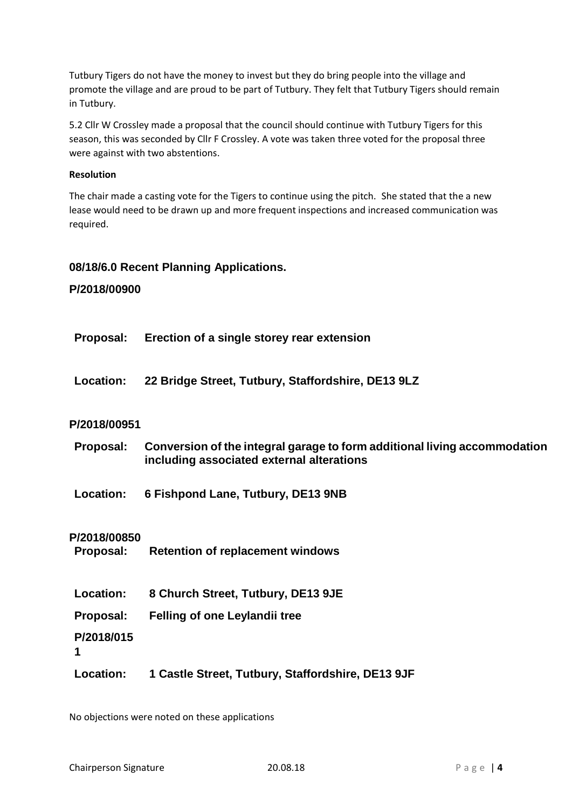Tutbury Tigers do not have the money to invest but they do bring people into the village and promote the village and are proud to be part of Tutbury. They felt that Tutbury Tigers should remain in Tutbury.

5.2 Cllr W Crossley made a proposal that the council should continue with Tutbury Tigers for this season, this was seconded by Cllr F Crossley. A vote was taken three voted for the proposal three were against with two abstentions.

#### **Resolution**

The chair made a casting vote for the Tigers to continue using the pitch. She stated that the a new lease would need to be drawn up and more frequent inspections and increased communication was required.

### **08/18/6.0 Recent Planning Applications.**

### **P/2018/00900**

- **Proposal: Erection of a single storey rear extension**
- **Location: 22 Bridge Street, Tutbury, Staffordshire, DE13 9LZ**

### **P/2018/00951**

- **Proposal: Conversion of the integral garage to form additional living accommodation including associated external alterations**
- **Location: 6 Fishpond Lane, Tutbury, DE13 9NB**

### **P/2018/00850**

- **Proposal: Retention of replacement windows**
- **Location: 8 Church Street, Tutbury, DE13 9JE**
- **Proposal: Felling of one Leylandii tree**
- **P/2018/015**
- **1**
- **Location: 1 Castle Street, Tutbury, Staffordshire, DE13 9JF**

No objections were noted on these applications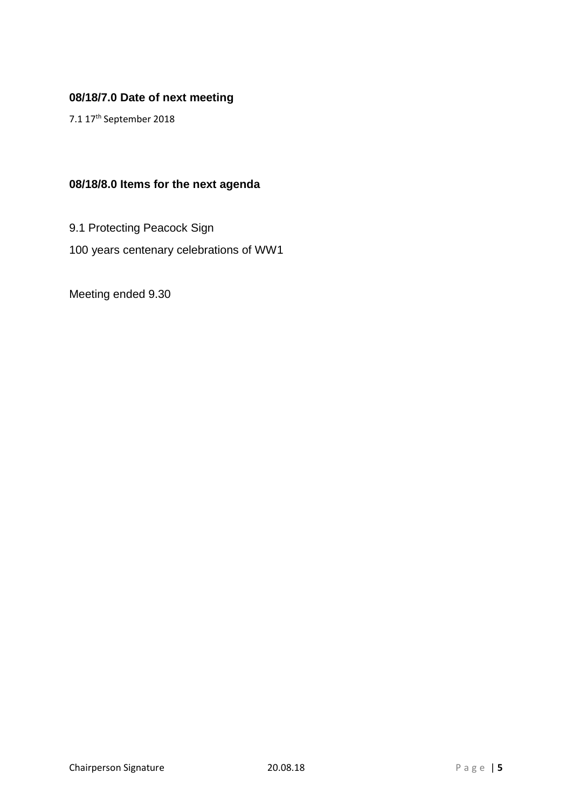# **08/18/7.0 Date of next meeting**

7.1 17th September 2018

# **08/18/8.0 Items for the next agenda**

9.1 Protecting Peacock Sign 100 years centenary celebrations of WW1

Meeting ended 9.30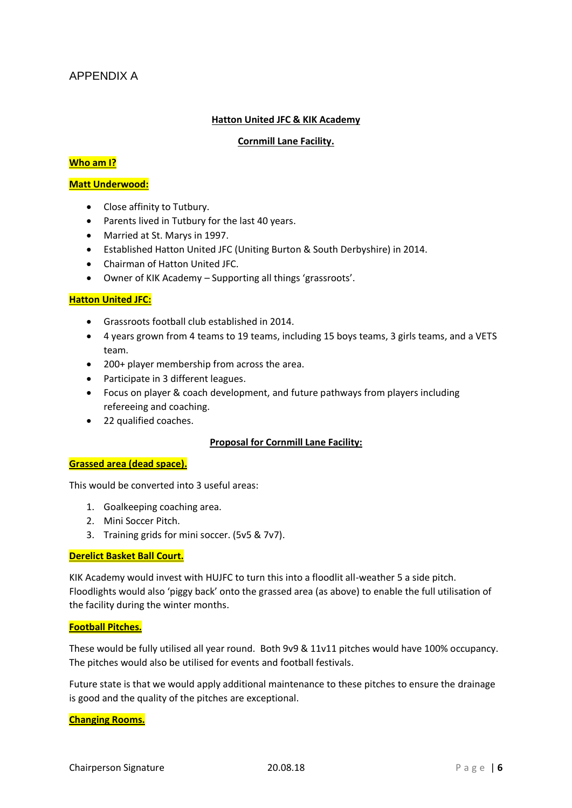### **Hatton United JFC & KIK Academy**

### **Cornmill Lane Facility.**

### **Who am I?**

### **Matt Underwood:**

- Close affinity to Tutbury.
- Parents lived in Tutbury for the last 40 years.
- Married at St. Marys in 1997.
- Established Hatton United JFC (Uniting Burton & South Derbyshire) in 2014.
- Chairman of Hatton United JFC.
- Owner of KIK Academy Supporting all things 'grassroots'.

### **Hatton United JFC:**

- Grassroots football club established in 2014.
- 4 years grown from 4 teams to 19 teams, including 15 boys teams, 3 girls teams, and a VETS team.
- 200+ player membership from across the area.
- Participate in 3 different leagues.
- Focus on player & coach development, and future pathways from players including refereeing and coaching.
- 22 qualified coaches.

### **Proposal for Cornmill Lane Facility:**

### **Grassed area (dead space).**

This would be converted into 3 useful areas:

- 1. Goalkeeping coaching area.
- 2. Mini Soccer Pitch.
- 3. Training grids for mini soccer. (5v5 & 7v7).

### **Derelict Basket Ball Court.**

KIK Academy would invest with HUJFC to turn this into a floodlit all-weather 5 a side pitch. Floodlights would also 'piggy back' onto the grassed area (as above) to enable the full utilisation of the facility during the winter months.

### **Football Pitches.**

These would be fully utilised all year round. Both 9v9 & 11v11 pitches would have 100% occupancy. The pitches would also be utilised for events and football festivals.

Future state is that we would apply additional maintenance to these pitches to ensure the drainage is good and the quality of the pitches are exceptional.

### **Changing Rooms.**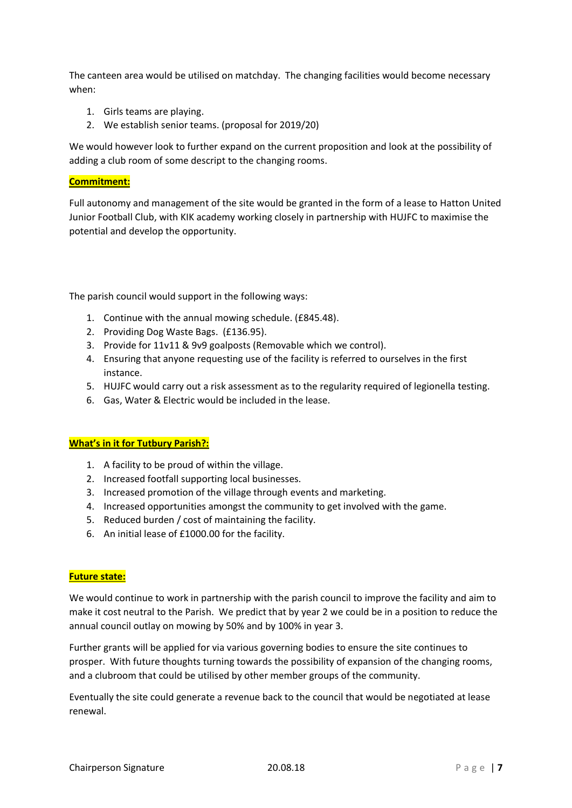The canteen area would be utilised on matchday. The changing facilities would become necessary when:

- 1. Girls teams are playing.
- 2. We establish senior teams. (proposal for 2019/20)

We would however look to further expand on the current proposition and look at the possibility of adding a club room of some descript to the changing rooms.

### **Commitment:**

Full autonomy and management of the site would be granted in the form of a lease to Hatton United Junior Football Club, with KIK academy working closely in partnership with HUJFC to maximise the potential and develop the opportunity.

The parish council would support in the following ways:

- 1. Continue with the annual mowing schedule. (£845.48).
- 2. Providing Dog Waste Bags. (£136.95).
- 3. Provide for 11v11 & 9v9 goalposts (Removable which we control).
- 4. Ensuring that anyone requesting use of the facility is referred to ourselves in the first instance.
- 5. HUJFC would carry out a risk assessment as to the regularity required of legionella testing.
- 6. Gas, Water & Electric would be included in the lease.

### **What's in it for Tutbury Parish?:**

- 1. A facility to be proud of within the village.
- 2. Increased footfall supporting local businesses.
- 3. Increased promotion of the village through events and marketing.
- 4. Increased opportunities amongst the community to get involved with the game.
- 5. Reduced burden / cost of maintaining the facility.
- 6. An initial lease of £1000.00 for the facility.

### **Future state:**

We would continue to work in partnership with the parish council to improve the facility and aim to make it cost neutral to the Parish. We predict that by year 2 we could be in a position to reduce the annual council outlay on mowing by 50% and by 100% in year 3.

Further grants will be applied for via various governing bodies to ensure the site continues to prosper. With future thoughts turning towards the possibility of expansion of the changing rooms, and a clubroom that could be utilised by other member groups of the community.

Eventually the site could generate a revenue back to the council that would be negotiated at lease renewal.